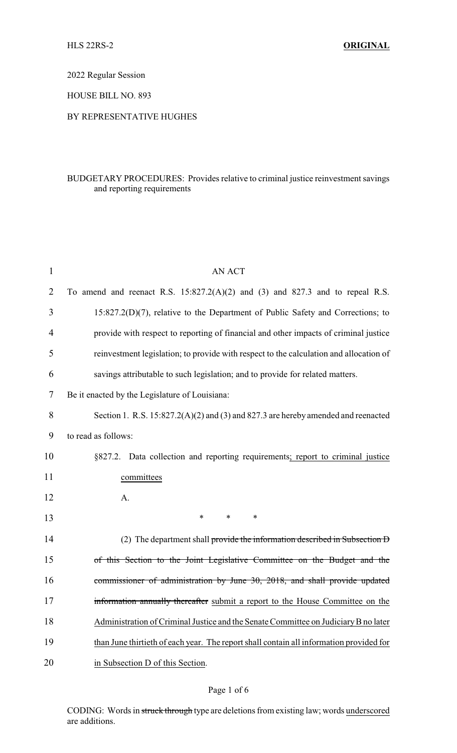2022 Regular Session

HOUSE BILL NO. 893

## BY REPRESENTATIVE HUGHES

## BUDGETARY PROCEDURES: Provides relative to criminal justice reinvestment savings and reporting requirements

| $\mathbf{1}$ | <b>AN ACT</b>                                                                           |
|--------------|-----------------------------------------------------------------------------------------|
| 2            | To amend and reenact R.S. $15:827.2(A)(2)$ and $(3)$ and $827.3$ and to repeal R.S.     |
| 3            | $15:827.2(D)(7)$ , relative to the Department of Public Safety and Corrections; to      |
| 4            | provide with respect to reporting of financial and other impacts of criminal justice    |
| 5            | reinvestment legislation; to provide with respect to the calculation and allocation of  |
| 6            | savings attributable to such legislation; and to provide for related matters.           |
| 7            | Be it enacted by the Legislature of Louisiana:                                          |
| 8            | Section 1. R.S. 15:827.2(A)(2) and (3) and 827.3 are hereby amended and reenacted       |
| 9            | to read as follows:                                                                     |
| 10           | §827.2. Data collection and reporting requirements; report to criminal justice          |
| 11           | committees                                                                              |
| 12           | A.                                                                                      |
| 13           | $\ast$<br>$\ast$<br>$\ast$                                                              |
| 14           | (2) The department shall provide the information described in Subsection D              |
| 15           | of this Section to the Joint Legislative Committee on the Budget and the                |
| 16           | commissioner of administration by June 30, 2018, and shall provide updated              |
| 17           | information annually thereafter submit a report to the House Committee on the           |
| 18           | Administration of Criminal Justice and the Senate Committee on Judiciary B no later     |
| 19           | than June thirtieth of each year. The report shall contain all information provided for |
| 20           | in Subsection D of this Section.                                                        |

## Page 1 of 6

CODING: Words in struck through type are deletions from existing law; words underscored are additions.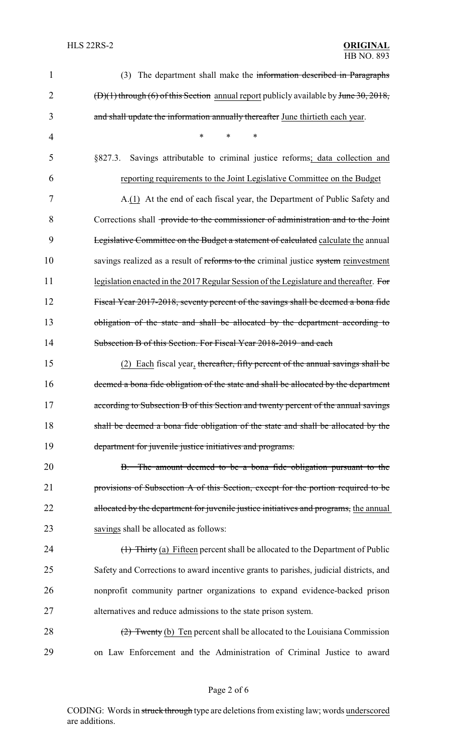| 1              | (3) The department shall make the information described in Paragraphs                     |
|----------------|-------------------------------------------------------------------------------------------|
| $\overline{2}$ | $(D)(1)$ through $(6)$ of this Section annual report publicly available by June 30, 2018, |
| 3              | and shall update the information annually thereafter June thirtieth each year.            |
| 4              | $\ast$<br>*<br>*                                                                          |
| 5              | Savings attributable to criminal justice reforms; data collection and<br>§827.3.          |
| 6              | reporting requirements to the Joint Legislative Committee on the Budget                   |
| 7              | A.(1) At the end of each fiscal year, the Department of Public Safety and                 |
| 8              | Corrections shall provide to the commissioner of administration and to the Joint          |
| 9              | <b>Legislative Committee on the Budget a statement of calculated calculate the annual</b> |
| 10             | savings realized as a result of reforms to the criminal justice system reinvestment       |
| 11             | legislation enacted in the 2017 Regular Session of the Legislature and thereafter. For    |
| 12             | Fiscal Year 2017-2018, seventy percent of the savings shall be deemed a bona fide         |
| 13             | obligation of the state and shall be allocated by the department according to             |
| 14             | Subsection B of this Section. For Fiscal Year 2018-2019 and each                          |
| 15             | (2) Each fiscal year, thereafter, fifty percent of the annual savings shall be            |
| 16             | deemed a bona fide obligation of the state and shall be allocated by the department       |
| 17             | according to Subsection B of this Section and twenty percent of the annual savings        |
| 18             | shall be deemed a bona fide obligation of the state and shall be allocated by the         |
| 19             | department for juvenile justice initiatives and programs.                                 |
| 20             | B. The amount deemed to be a bona fide obligation pursuant to the                         |
| 21             | provisions of Subsection A of this Section, except for the portion required to be         |
| 22             | allocated by the department for juvenile justice initiatives and programs, the annual     |
| 23             | savings shall be allocated as follows:                                                    |
| 24             | (1) Thirty (a) Fifteen percent shall be allocated to the Department of Public             |
| 25             | Safety and Corrections to award incentive grants to parishes, judicial districts, and     |
| 26             | nonprofit community partner organizations to expand evidence-backed prison                |
| 27             | alternatives and reduce admissions to the state prison system.                            |
| 28             | $(2)$ Twenty (b) Ten percent shall be allocated to the Louisiana Commission               |
| 29             | on Law Enforcement and the Administration of Criminal Justice to award                    |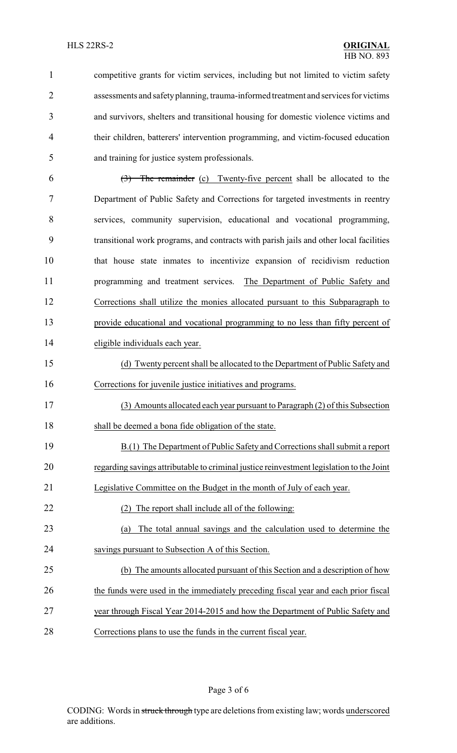| $\mathbf{1}$   | competitive grants for victim services, including but not limited to victim safety         |
|----------------|--------------------------------------------------------------------------------------------|
| $\overline{2}$ | assessments and safety planning, trauma-informed treatment and services for victims        |
| 3              | and survivors, shelters and transitional housing for domestic violence victims and         |
| $\overline{4}$ | their children, batterers' intervention programming, and victim-focused education          |
| 5              | and training for justice system professionals.                                             |
| 6              | $\left(\frac{3}{2}\right)$ The remainder (c) Twenty-five percent shall be allocated to the |
| 7              | Department of Public Safety and Corrections for targeted investments in reentry            |
| 8              | services, community supervision, educational and vocational programming,                   |
| 9              | transitional work programs, and contracts with parish jails and other local facilities     |
| 10             | that house state inmates to incentivize expansion of recidivism reduction                  |
| 11             | programming and treatment services. The Department of Public Safety and                    |
| 12             | Corrections shall utilize the monies allocated pursuant to this Subparagraph to            |
| 13             | provide educational and vocational programming to no less than fifty percent of            |
| 14             | eligible individuals each year.                                                            |
| 15             | (d) Twenty percent shall be allocated to the Department of Public Safety and               |
| 16             | Corrections for juvenile justice initiatives and programs.                                 |
| 17             | (3) Amounts allocated each year pursuant to Paragraph (2) of this Subsection               |
| 18             | shall be deemed a bona fide obligation of the state.                                       |
| 19             | B.(1) The Department of Public Safety and Corrections shall submit a report                |
| 20             | regarding savings attributable to criminal justice reinvestment legislation to the Joint   |
| 21             | Legislative Committee on the Budget in the month of July of each year.                     |
| 22             | The report shall include all of the following:                                             |
| 23             | The total annual savings and the calculation used to determine the<br>(a)                  |
| 24             | savings pursuant to Subsection A of this Section.                                          |
| 25             | (b) The amounts allocated pursuant of this Section and a description of how                |
| 26             | the funds were used in the immediately preceding fiscal year and each prior fiscal         |
| 27             | year through Fiscal Year 2014-2015 and how the Department of Public Safety and             |
| 28             | Corrections plans to use the funds in the current fiscal year.                             |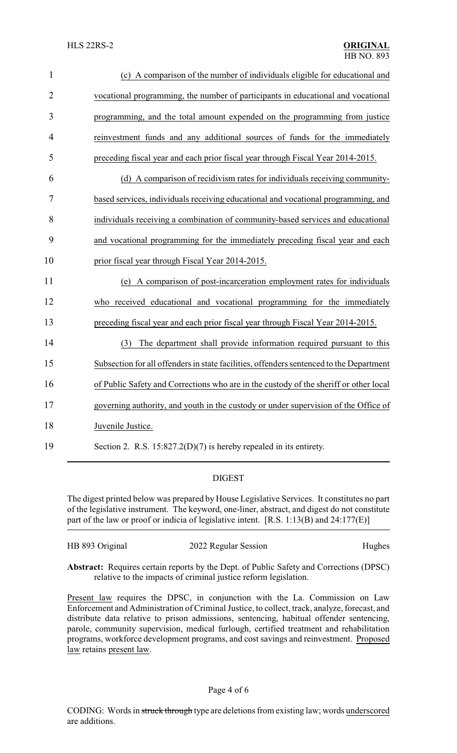| $\mathbf{1}$   | (c) A comparison of the number of individuals eligible for educational and              |
|----------------|-----------------------------------------------------------------------------------------|
| $\overline{2}$ | vocational programming, the number of participants in educational and vocational        |
| 3              | programming, and the total amount expended on the programming from justice              |
| $\overline{4}$ | reinvestment funds and any additional sources of funds for the immediately              |
| 5              | preceding fiscal year and each prior fiscal year through Fiscal Year 2014-2015.         |
| 6              | (d) A comparison of recidivism rates for individuals receiving community-               |
| 7              | based services, individuals receiving educational and vocational programming, and       |
| 8              | individuals receiving a combination of community-based services and educational         |
| 9              | and vocational programming for the immediately preceding fiscal year and each           |
| 10             | prior fiscal year through Fiscal Year 2014-2015.                                        |
| 11             | (e) A comparison of post-incarceration employment rates for individuals                 |
| 12             | who received educational and vocational programming for the immediately                 |
| 13             | preceding fiscal year and each prior fiscal year through Fiscal Year 2014-2015.         |
| 14             | The department shall provide information required pursuant to this<br>(3)               |
| 15             | Subsection for all offenders in state facilities, offenders sentenced to the Department |
| 16             | of Public Safety and Corrections who are in the custody of the sheriff or other local   |
| 17             | governing authority, and youth in the custody or under supervision of the Office of     |
| 18             | Juvenile Justice.                                                                       |
| 19             | Section 2. R.S. $15:827.2(D)(7)$ is hereby repealed in its entirety.                    |

## DIGEST

The digest printed below was prepared by House Legislative Services. It constitutes no part of the legislative instrument. The keyword, one-liner, abstract, and digest do not constitute part of the law or proof or indicia of legislative intent. [R.S. 1:13(B) and 24:177(E)]

| HB 893 Original | 2022 Regular Session | Hughes |
|-----------------|----------------------|--------|
|                 |                      |        |

**Abstract:** Requires certain reports by the Dept. of Public Safety and Corrections (DPSC) relative to the impacts of criminal justice reform legislation.

Present law requires the DPSC, in conjunction with the La. Commission on Law Enforcement and Administration of Criminal Justice, to collect, track, analyze, forecast, and distribute data relative to prison admissions, sentencing, habitual offender sentencing, parole, community supervision, medical furlough, certified treatment and rehabilitation programs, workforce development programs, and cost savings and reinvestment. Proposed law retains present law.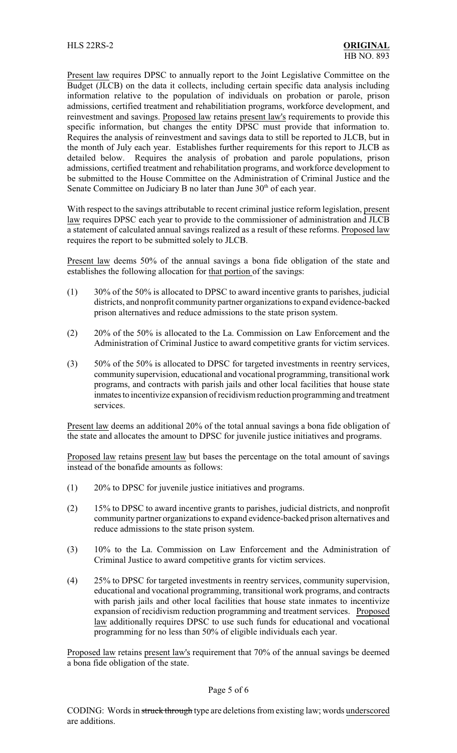Present law requires DPSC to annually report to the Joint Legislative Committee on the Budget (JLCB) on the data it collects, including certain specific data analysis including information relative to the population of individuals on probation or parole, prison admissions, certified treatment and rehabilitiation programs, workforce development, and reinvestment and savings. Proposed law retains present law's requirements to provide this specific information, but changes the entity DPSC must provide that information to. Requires the analysis of reinvestment and savings data to still be reported to JLCB, but in the month of July each year. Establishes further requirements for this report to JLCB as detailed below. Requires the analysis of probation and parole populations, prison admissions, certified treatment and rehabilitation programs, and workforce development to be submitted to the House Committee on the Administration of Criminal Justice and the Senate Committee on Judiciary B no later than June  $30<sup>th</sup>$  of each year.

With respect to the savings attributable to recent criminal justice reform legislation, present law requires DPSC each year to provide to the commissioner of administration and JLCB a statement of calculated annual savings realized as a result of these reforms. Proposed law requires the report to be submitted solely to JLCB.

Present law deems 50% of the annual savings a bona fide obligation of the state and establishes the following allocation for that portion of the savings:

- (1) 30% of the 50% is allocated to DPSC to award incentive grants to parishes, judicial districts, and nonprofit community partner organizations to expand evidence-backed prison alternatives and reduce admissions to the state prison system.
- (2) 20% of the 50% is allocated to the La. Commission on Law Enforcement and the Administration of Criminal Justice to award competitive grants for victim services.
- (3) 50% of the 50% is allocated to DPSC for targeted investments in reentry services, community supervision, educational and vocational programming, transitional work programs, and contracts with parish jails and other local facilities that house state inmates to incentivize expansion of recidivism reduction programming and treatment services.

Present law deems an additional 20% of the total annual savings a bona fide obligation of the state and allocates the amount to DPSC for juvenile justice initiatives and programs.

Proposed law retains present law but bases the percentage on the total amount of savings instead of the bonafide amounts as follows:

- (1) 20% to DPSC for juvenile justice initiatives and programs.
- (2) 15% to DPSC to award incentive grants to parishes, judicial districts, and nonprofit community partner organizations to expand evidence-backed prison alternatives and reduce admissions to the state prison system.
- (3) 10% to the La. Commission on Law Enforcement and the Administration of Criminal Justice to award competitive grants for victim services.
- (4) 25% to DPSC for targeted investments in reentry services, community supervision, educational and vocational programming, transitional work programs, and contracts with parish jails and other local facilities that house state inmates to incentivize expansion of recidivism reduction programming and treatment services. Proposed law additionally requires DPSC to use such funds for educational and vocational programming for no less than 50% of eligible individuals each year.

Proposed law retains present law's requirement that 70% of the annual savings be deemed a bona fide obligation of the state.